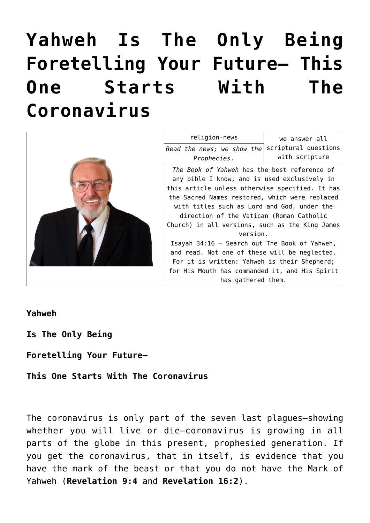# **[Yahweh Is The Only Being](https://yahwehsbranch.com/yahweh-is-the-only-being-foretelling-your-future-this-one-starts-with-the-coronavirus/) [Foretelling Your Future— This](https://yahwehsbranch.com/yahweh-is-the-only-being-foretelling-your-future-this-one-starts-with-the-coronavirus/) [One Starts With The](https://yahwehsbranch.com/yahweh-is-the-only-being-foretelling-your-future-this-one-starts-with-the-coronavirus/) [Coronavirus](https://yahwehsbranch.com/yahweh-is-the-only-being-foretelling-your-future-this-one-starts-with-the-coronavirus/)**



**Yahweh**

**Is The Only Being**

**Foretelling Your Future—**

**This One Starts With The Coronavirus**

The coronavirus is only part of the seven last plagues—showing whether you will live or die—coronavirus is growing in all parts of the globe in this present, prophesied generation. If you get the coronavirus, that in itself, is evidence that you have the mark of the beast or that you do not have the Mark of Yahweh (**Revelation 9:4** and **Revelation 16:2**).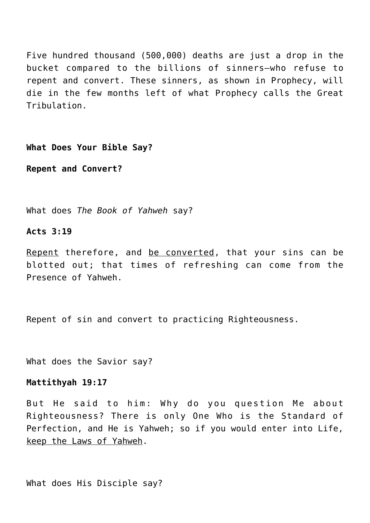Five hundred thousand (500,000) deaths are just a drop in the bucket compared to the billions of sinners—who refuse to repent and convert. These sinners, as shown in Prophecy, will die in the few months left of what Prophecy calls the Great Tribulation.

**What Does Your Bible Say?**

**Repent and Convert?**

What does *The Book of Yahweh* say?

#### **Acts 3:19**

Repent therefore, and be converted, that your sins can be blotted out; that times of refreshing can come from the Presence of Yahweh.

Repent of sin and convert to practicing Righteousness.

What does the Savior say?

#### **Mattithyah 19:17**

But He said to him: Why do you question Me about Righteousness? There is only One Who is the Standard of Perfection, and He is Yahweh; so if you would enter into Life, keep the Laws of Yahweh.

```
What does His Disciple say?
```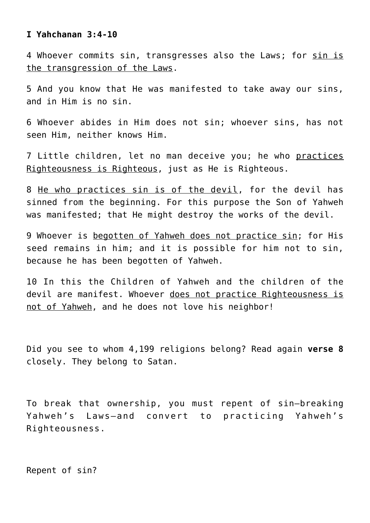#### **I Yahchanan 3:4-10**

4 Whoever commits sin, transgresses also the Laws; for sin is the transgression of the Laws.

5 And you know that He was manifested to take away our sins, and in Him is no sin.

6 Whoever abides in Him does not sin; whoever sins, has not seen Him, neither knows Him.

7 Little children, let no man deceive you; he who practices Righteousness is Righteous, just as He is Righteous.

8 He who practices sin is of the devil, for the devil has sinned from the beginning. For this purpose the Son of Yahweh was manifested; that He might destroy the works of the devil.

9 Whoever is begotten of Yahweh does not practice sin; for His seed remains in him; and it is possible for him not to sin, because he has been begotten of Yahweh.

10 In this the Children of Yahweh and the children of the devil are manifest. Whoever does not practice Righteousness is not of Yahweh, and he does not love his neighbor!

Did you see to whom 4,199 religions belong? Read again **verse 8** closely. They belong to Satan.

To break that ownership, you must repent of sin—breaking Yahweh's Laws—and convert to practicing Yahweh's Righteousness.

Repent of sin?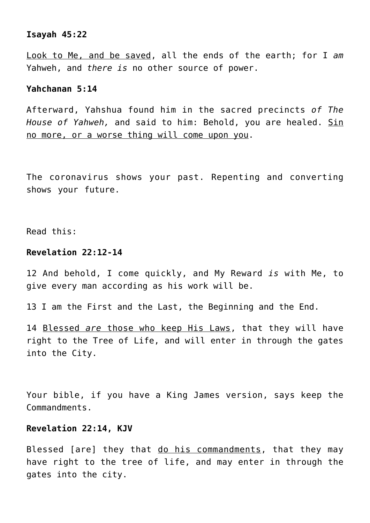# **Isayah 45:22**

Look to Me, and be saved, all the ends of the earth; for I *am* Yahweh, and *there is* no other source of power.

## **Yahchanan 5:14**

Afterward, Yahshua found him in the sacred precincts *of The House of Yahweh,* and said to him: Behold, you are healed. Sin no more, or a worse thing will come upon you.

The coronavirus shows your past. Repenting and converting shows your future.

Read this:

## **Revelation 22:12-14**

12 And behold, I come quickly, and My Reward *is* with Me, to give every man according as his work will be.

13 I am the First and the Last, the Beginning and the End.

14 Blessed *are* those who keep His Laws, that they will have right to the Tree of Life, and will enter in through the gates into the City.

Your bible, if you have a King James version, says keep the Commandments.

## **Revelation 22:14, KJV**

Blessed [are] they that do his commandments, that they may have right to the tree of life, and may enter in through the gates into the city.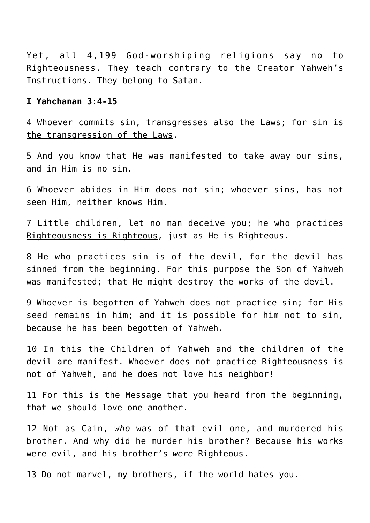Yet, all 4,199 God-worshiping religions say no to Righteousness. They teach contrary to the Creator Yahweh's Instructions. They belong to Satan.

## **I Yahchanan 3:4-15**

4 Whoever commits sin, transgresses also the Laws; for sin is the transgression of the Laws.

5 And you know that He was manifested to take away our sins, and in Him is no sin.

6 Whoever abides in Him does not sin; whoever sins, has not seen Him, neither knows Him.

7 Little children, let no man deceive you; he who practices Righteousness is Righteous, just as He is Righteous.

8 He who practices sin is of the devil, for the devil has sinned from the beginning. For this purpose the Son of Yahweh was manifested; that He might destroy the works of the devil.

9 Whoever is begotten of Yahweh does not practice sin; for His seed remains in him; and it is possible for him not to sin, because he has been begotten of Yahweh.

10 In this the Children of Yahweh and the children of the devil are manifest. Whoever does not practice Righteousness is not of Yahweh, and he does not love his neighbor!

11 For this is the Message that you heard from the beginning, that we should love one another.

12 Not as Cain, *who* was of that evil one, and murdered his brother. And why did he murder his brother? Because his works were evil, and his brother's *were* Righteous.

13 Do not marvel, my brothers, if the world hates you.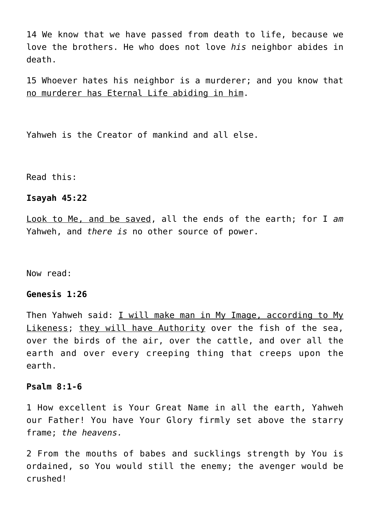14 We know that we have passed from death to life, because we love the brothers. He who does not love *his* neighbor abides in death.

15 Whoever hates his neighbor is a murderer; and you know that no murderer has Eternal Life abiding in him.

Yahweh is the Creator of mankind and all else.

Read this:

## **Isayah 45:22**

Look to Me, and be saved, all the ends of the earth; for I *am* Yahweh, and *there is* no other source of power.

Now read:

## **Genesis 1:26**

Then Yahweh said: I will make man in My Image, according to My Likeness; they will have Authority over the fish of the sea, over the birds of the air, over the cattle, and over all the earth and over every creeping thing that creeps upon the earth.

## **Psalm 8:1-6**

1 How excellent is Your Great Name in all the earth, Yahweh our Father! You have Your Glory firmly set above the starry frame; *the heavens.*

2 From the mouths of babes and sucklings strength by You is ordained, so You would still the enemy; the avenger would be crushed!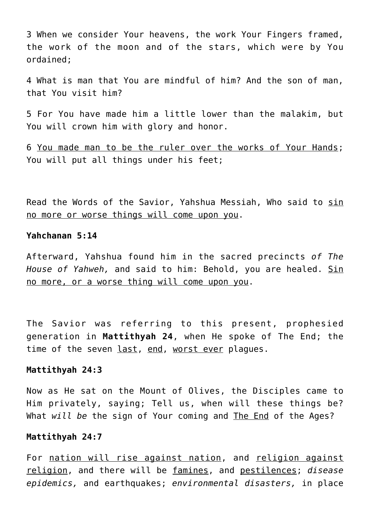3 When we consider Your heavens, the work Your Fingers framed, the work of the moon and of the stars, which were by You ordained;

4 What is man that You are mindful of him? And the son of man, that You visit him?

5 For You have made him a little lower than the malakim, but You will crown him with glory and honor.

6 You made man to be the ruler over the works of Your Hands; You will put all things under his feet;

Read the Words of the Savior, Yahshua Messiah, Who said to sin no more or worse things will come upon you.

### **Yahchanan 5:14**

Afterward, Yahshua found him in the sacred precincts *of The House of Yahweh,* and said to him: Behold, you are healed. Sin no more, or a worse thing will come upon you.

The Savior was referring to this present, prophesied generation in **Mattithyah 24**, when He spoke of The End; the time of the seven last, end, worst ever plagues.

#### **Mattithyah 24:3**

Now as He sat on the Mount of Olives, the Disciples came to Him privately, saying; Tell us, when will these things be? What *will be* the sign of Your coming and The End of the Ages?

#### **Mattithyah 24:7**

For nation will rise against nation, and religion against religion, and there will be famines, and pestilences; *disease epidemics,* and earthquakes; *environmental disasters,* in place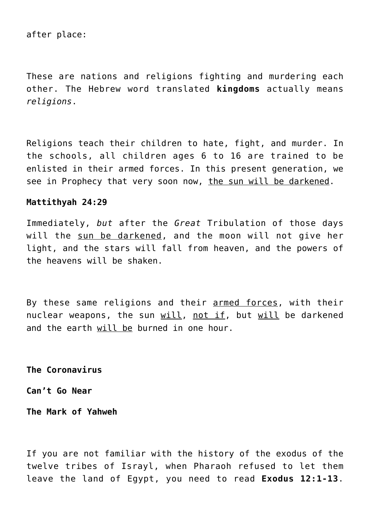after place:

These are nations and religions fighting and murdering each other. The Hebrew word translated **kingdoms** actually means *religions*.

Religions teach their children to hate, fight, and murder. In the schools, all children ages 6 to 16 are trained to be enlisted in their armed forces. In this present generation, we see in Prophecy that very soon now, the sun will be darkened.

## **Mattithyah 24:29**

Immediately, *but* after the *Great* Tribulation of those days will the sun be darkened, and the moon will not give her light, and the stars will fall from heaven, and the powers of the heavens will be shaken.

By these same religions and their armed forces, with their nuclear weapons, the sun will, not if, but will be darkened and the earth will be burned in one hour.

**The Coronavirus**

**Can't Go Near**

**The Mark of Yahweh**

If you are not familiar with the history of the exodus of the twelve tribes of Israyl, when Pharaoh refused to let them leave the land of Egypt, you need to read **Exodus 12:1-13**.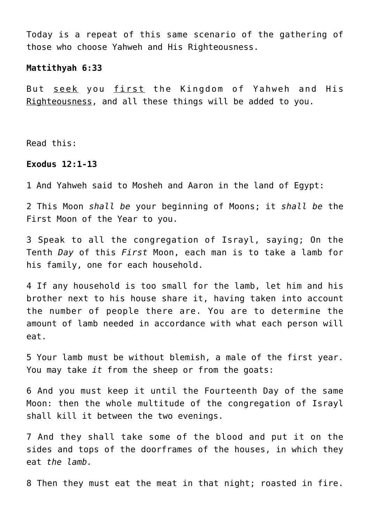Today is a repeat of this same scenario of the gathering of those who choose Yahweh and His Righteousness.

#### **Mattithyah 6:33**

But seek you first the Kingdom of Yahweh and His Righteousness, and all these things will be added to you.

Read this:

## **Exodus 12:1-13**

1 And Yahweh said to Mosheh and Aaron in the land of Egypt:

2 This Moon *shall be* your beginning of Moons; it *shall be* the First Moon of the Year to you.

3 Speak to all the congregation of Israyl, saying; On the Tenth *Day* of this *First* Moon, each man is to take a lamb for his family, one for each household.

4 If any household is too small for the lamb, let him and his brother next to his house share it, having taken into account the number of people there are. You are to determine the amount of lamb needed in accordance with what each person will eat.

5 Your lamb must be without blemish, a male of the first year. You may take *it* from the sheep or from the goats:

6 And you must keep it until the Fourteenth Day of the same Moon: then the whole multitude of the congregation of Israyl shall kill it between the two evenings.

7 And they shall take some of the blood and put it on the sides and tops of the doorframes of the houses, in which they eat *the lamb.*

8 Then they must eat the meat in that night; roasted in fire.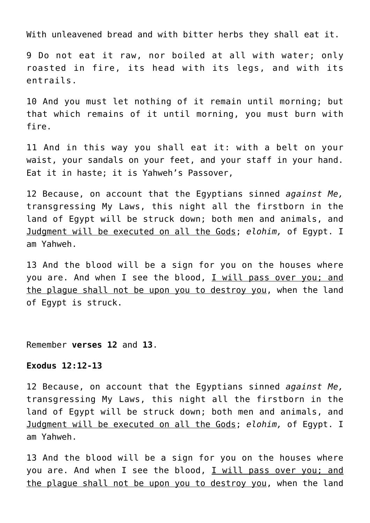With unleavened bread and with bitter herbs they shall eat it.

9 Do not eat it raw, nor boiled at all with water; only roasted in fire, its head with its legs, and with its entrails.

10 And you must let nothing of it remain until morning; but that which remains of it until morning, you must burn with fire.

11 And in this way you shall eat it: with a belt on your waist, your sandals on your feet, and your staff in your hand. Eat it in haste; it is Yahweh's Passover,

12 Because, on account that the Egyptians sinned *against Me,* transgressing My Laws, this night all the firstborn in the land of Egypt will be struck down; both men and animals, and Judgment will be executed on all the Gods; *elohim,* of Egypt. I am Yahweh.

13 And the blood will be a sign for you on the houses where you are. And when I see the blood, I will pass over you; and the plague shall not be upon you to destroy you, when the land of Egypt is struck.

Remember **verses 12** and **13**.

## **Exodus 12:12-13**

12 Because, on account that the Egyptians sinned *against Me,* transgressing My Laws, this night all the firstborn in the land of Egypt will be struck down; both men and animals, and Judgment will be executed on all the Gods; *elohim,* of Egypt. I am Yahweh.

13 And the blood will be a sign for you on the houses where you are. And when I see the blood, I will pass over you; and the plague shall not be upon you to destroy you, when the land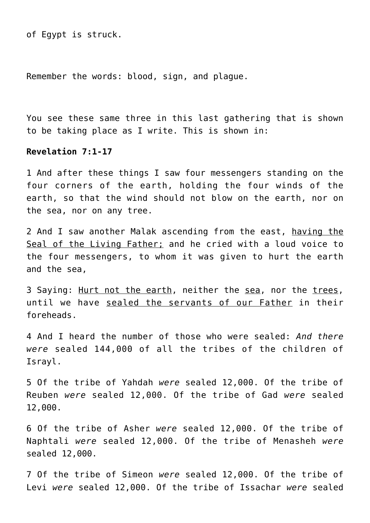of Egypt is struck.

Remember the words: blood, sign, and plague.

You see these same three in this last gathering that is shown to be taking place as I write. This is shown in:

## **Revelation 7:1-17**

1 And after these things I saw four messengers standing on the four corners of the earth, holding the four winds of the earth, so that the wind should not blow on the earth, nor on the sea, nor on any tree.

2 And I saw another Malak ascending from the east, having the Seal of the Living Father; and he cried with a loud voice to the four messengers, to whom it was given to hurt the earth and the sea,

3 Saying: Hurt not the earth, neither the sea, nor the trees, until we have sealed the servants of our Father in their foreheads.

4 And I heard the number of those who were sealed: *And there were* sealed 144,000 of all the tribes of the children of Israyl.

5 Of the tribe of Yahdah *were* sealed 12,000. Of the tribe of Reuben *were* sealed 12,000. Of the tribe of Gad *were* sealed 12,000.

6 Of the tribe of Asher *were* sealed 12,000. Of the tribe of Naphtali *were* sealed 12,000. Of the tribe of Menasheh *were* sealed 12,000.

7 Of the tribe of Simeon *were* sealed 12,000. Of the tribe of Levi *were* sealed 12,000. Of the tribe of Issachar *were* sealed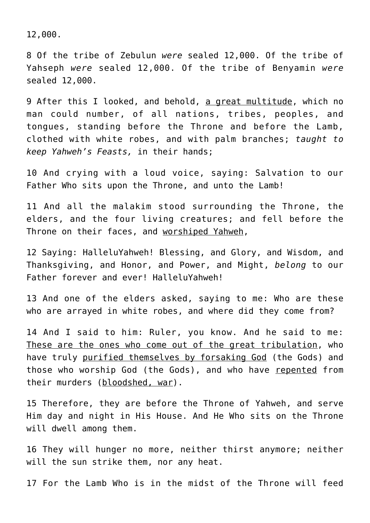12,000.

8 Of the tribe of Zebulun *were* sealed 12,000. Of the tribe of Yahseph *were* sealed 12,000. Of the tribe of Benyamin *were* sealed 12,000.

9 After this I looked, and behold, a great multitude, which no man could number, of all nations, tribes, peoples, and tongues, standing before the Throne and before the Lamb, clothed with white robes, and with palm branches; *taught to keep Yahweh's Feasts,* in their hands;

10 And crying with a loud voice, saying: Salvation to our Father Who sits upon the Throne, and unto the Lamb!

11 And all the malakim stood surrounding the Throne, the elders, and the four living creatures; and fell before the Throne on their faces, and worshiped Yahweh,

12 Saying: HalleluYahweh! Blessing, and Glory, and Wisdom, and Thanksgiving, and Honor, and Power, and Might, *belong* to our Father forever and ever! HalleluYahweh!

13 And one of the elders asked, saying to me: Who are these who are arrayed in white robes, and where did they come from?

14 And I said to him: Ruler, you know. And he said to me: These are the ones who come out of the great tribulation, who have truly purified themselves by forsaking God (the Gods) and those who worship God (the Gods), and who have repented from their murders (bloodshed, war).

15 Therefore, they are before the Throne of Yahweh, and serve Him day and night in His House. And He Who sits on the Throne will dwell among them.

16 They will hunger no more, neither thirst anymore; neither will the sun strike them, nor any heat.

17 For the Lamb Who is in the midst of the Throne will feed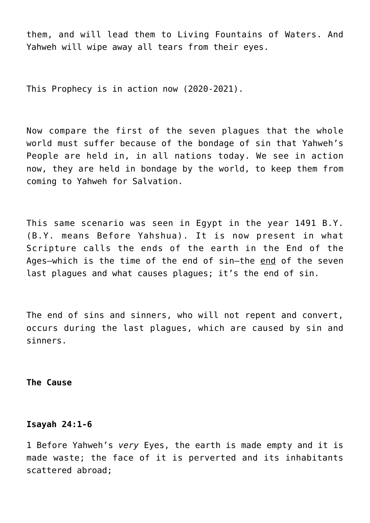them, and will lead them to Living Fountains of Waters. And Yahweh will wipe away all tears from their eyes.

This Prophecy is in action now (2020-2021).

Now compare the first of the seven plagues that the whole world must suffer because of the bondage of sin that Yahweh's People are held in, in all nations today. We see in action now, they are held in bondage by the world, to keep them from coming to Yahweh for Salvation.

This same scenario was seen in Egypt in the year 1491 B.Y. (B.Y. means Before Yahshua). It is now present in what Scripture calls the ends of the earth in the End of the Ages—which is the time of the end of sin—the end of the seven last plagues and what causes plagues; it's the end of sin.

The end of sins and sinners, who will not repent and convert, occurs during the last plagues, which are caused by sin and sinners.

**The Cause**

#### **Isayah 24:1-6**

1 Before Yahweh's *very* Eyes, the earth is made empty and it is made waste; the face of it is perverted and its inhabitants scattered abroad;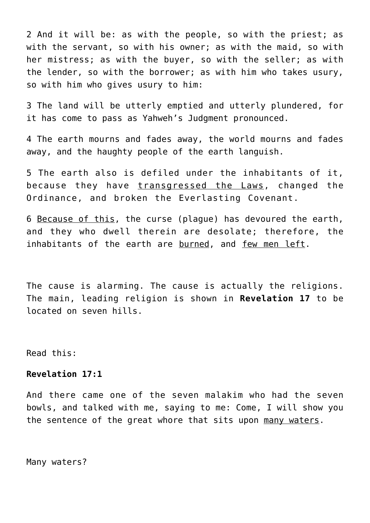2 And it will be: as with the people, so with the priest; as with the servant, so with his owner; as with the maid, so with her mistress; as with the buyer, so with the seller; as with the lender, so with the borrower; as with him who takes usury, so with him who gives usury to him:

3 The land will be utterly emptied and utterly plundered, for it has come to pass as Yahweh's Judgment pronounced.

4 The earth mourns and fades away, the world mourns and fades away, and the haughty people of the earth languish.

5 The earth also is defiled under the inhabitants of it, because they have transgressed the Laws, changed the Ordinance, and broken the Everlasting Covenant.

6 Because of this, the curse (plague) has devoured the earth, and they who dwell therein are desolate; therefore, the inhabitants of the earth are burned, and few men left.

The cause is alarming. The cause is actually the religions. The main, leading religion is shown in **Revelation 17** to be located on seven hills.

Read this:

## **Revelation 17:1**

And there came one of the seven malakim who had the seven bowls, and talked with me, saying to me: Come, I will show you the sentence of the great whore that sits upon many waters.

Many waters?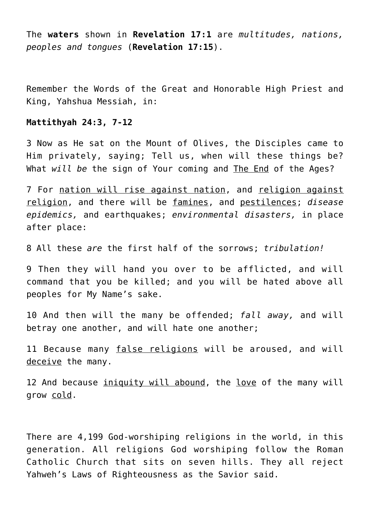The **waters** shown in **Revelation 17:1** are *multitudes, nations, peoples and tongues* (**Revelation 17:15**).

Remember the Words of the Great and Honorable High Priest and King, Yahshua Messiah, in:

#### **Mattithyah 24:3, 7-12**

3 Now as He sat on the Mount of Olives, the Disciples came to Him privately, saying; Tell us, when will these things be? What *will be* the sign of Your coming and The End of the Ages?

7 For nation will rise against nation, and religion against religion, and there will be famines, and pestilences; *disease epidemics,* and earthquakes; *environmental disasters,* in place after place:

8 All these *are* the first half of the sorrows; *tribulation!*

9 Then they will hand you over to be afflicted, and will command that you be killed; and you will be hated above all peoples for My Name's sake.

10 And then will the many be offended; *fall away,* and will betray one another, and will hate one another;

11 Because many false religions will be aroused, and will deceive the many.

12 And because iniquity will abound, the love of the many will grow cold.

There are 4,199 God-worshiping religions in the world, in this generation. All religions God worshiping follow the Roman Catholic Church that sits on seven hills. They all reject Yahweh's Laws of Righteousness as the Savior said.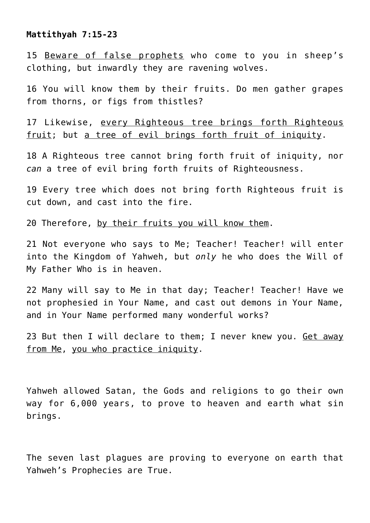**Mattithyah 7:15-23**

15 Beware of false prophets who come to you in sheep's clothing, but inwardly they are ravening wolves.

16 You will know them by their fruits. Do men gather grapes from thorns, or figs from thistles?

17 Likewise, every Righteous tree brings forth Righteous fruit; but a tree of evil brings forth fruit of iniquity.

18 A Righteous tree cannot bring forth fruit of iniquity, nor *can* a tree of evil bring forth fruits of Righteousness.

19 Every tree which does not bring forth Righteous fruit is cut down, and cast into the fire.

20 Therefore, by their fruits you will know them.

21 Not everyone who says to Me; Teacher! Teacher! will enter into the Kingdom of Yahweh, but *only* he who does the Will of My Father Who is in heaven.

22 Many will say to Me in that day; Teacher! Teacher! Have we not prophesied in Your Name, and cast out demons in Your Name, and in Your Name performed many wonderful works?

23 But then I will declare to them; I never knew you. Get away from Me, you who practice iniquity.

Yahweh allowed Satan, the Gods and religions to go their own way for 6,000 years, to prove to heaven and earth what sin brings.

The seven last plagues are proving to everyone on earth that Yahweh's Prophecies are True.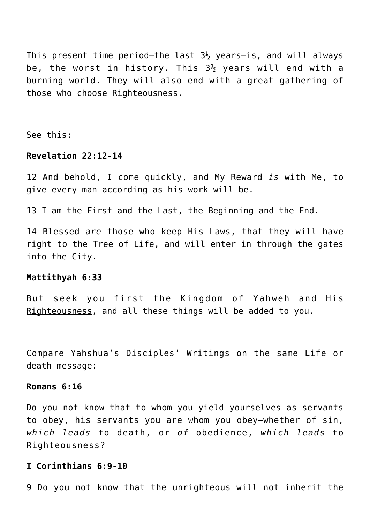This present time period-the last  $3\frac{1}{2}$  years-is, and will always be, the worst in history. This  $3\frac{1}{2}$  years will end with a burning world. They will also end with a great gathering of those who choose Righteousness.

See this:

# **Revelation 22:12-14**

12 And behold, I come quickly, and My Reward *is* with Me, to give every man according as his work will be.

13 I am the First and the Last, the Beginning and the End.

14 Blessed *are* those who keep His Laws, that they will have right to the Tree of Life, and will enter in through the gates into the City.

#### **Mattithyah 6:33**

But seek you first the Kingdom of Yahweh and His Righteousness, and all these things will be added to you.

Compare Yahshua's Disciples' Writings on the same Life or death message:

## **Romans 6:16**

Do you not know that to whom you yield yourselves as servants to obey, his servants you are whom you obey—whether of sin, *which leads* to death, or *of* obedience, *which leads* to Righteousness?

## **I Corinthians 6:9-10**

9 Do you not know that the unrighteous will not inherit the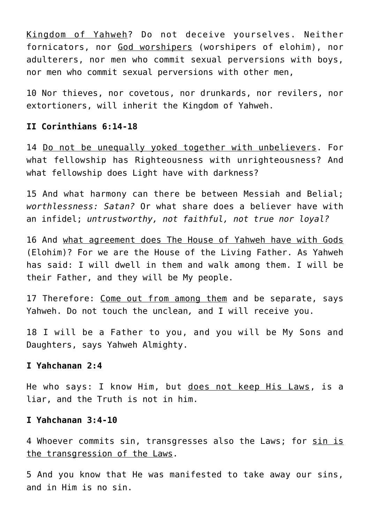Kingdom of Yahweh? Do not deceive yourselves. Neither fornicators, nor God worshipers (worshipers of elohim), nor adulterers, nor men who commit sexual perversions with boys, nor men who commit sexual perversions with other men,

10 Nor thieves, nor covetous, nor drunkards, nor revilers, nor extortioners, will inherit the Kingdom of Yahweh.

## **II Corinthians 6:14-18**

14 Do not be unequally yoked together with unbelievers. For what fellowship has Righteousness with unrighteousness? And what fellowship does Light have with darkness?

15 And what harmony can there be between Messiah and Belial; *worthlessness: Satan?* Or what share does a believer have with an infidel; *untrustworthy, not faithful, not true nor loyal?*

16 And what agreement does The House of Yahweh have with Gods (Elohim)? For we are the House of the Living Father. As Yahweh has said: I will dwell in them and walk among them. I will be their Father, and they will be My people.

17 Therefore: Come out from among them and be separate, says Yahweh. Do not touch the unclean*,* and I will receive you.

18 I will be a Father to you, and you will be My Sons and Daughters, says Yahweh Almighty.

## **I Yahchanan 2:4**

He who says: I know Him, but does not keep His Laws, is a liar, and the Truth is not in him.

# **I Yahchanan 3:4-10**

4 Whoever commits sin, transgresses also the Laws; for sin is the transgression of the Laws.

5 And you know that He was manifested to take away our sins, and in Him is no sin.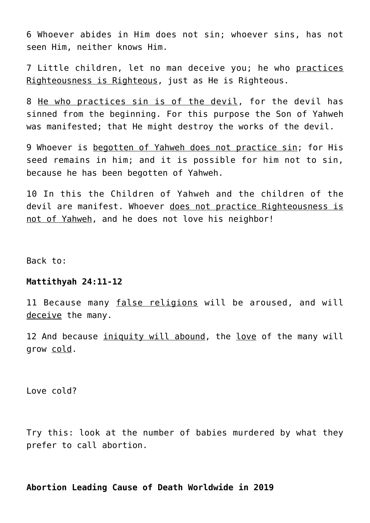6 Whoever abides in Him does not sin; whoever sins, has not seen Him, neither knows Him.

7 Little children, let no man deceive you; he who practices Righteousness is Righteous, just as He is Righteous.

8 He who practices sin is of the devil, for the devil has sinned from the beginning. For this purpose the Son of Yahweh was manifested; that He might destroy the works of the devil.

9 Whoever is begotten of Yahweh does not practice sin; for His seed remains in him; and it is possible for him not to sin, because he has been begotten of Yahweh.

10 In this the Children of Yahweh and the children of the devil are manifest. Whoever does not practice Righteousness is not of Yahweh, and he does not love his neighbor!

Back to:

#### **Mattithyah 24:11-12**

11 Because many false religions will be aroused, and will deceive the many.

12 And because iniquity will abound, the love of the many will grow cold.

Love cold?

Try this: look at the number of babies murdered by what they prefer to call abortion.

## **Abortion Leading Cause of Death Worldwide in 2019**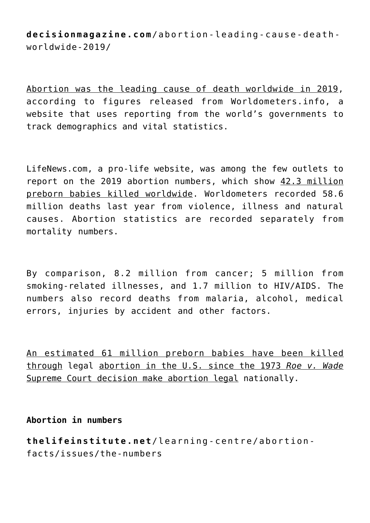**decisionmagazine.com**/abortion-leading-cause-deathworldwide-2019/

Abortion was the leading cause of death worldwide in 2019, according to figures released from Worldometers.info, a website that uses reporting from the world's governments to track demographics and vital statistics.

LifeNews.com, a pro-life website, was among the few outlets to report on the 2019 abortion numbers, which show 42.3 million preborn babies killed worldwide. Worldometers recorded 58.6 million deaths last year from violence, illness and natural causes. Abortion statistics are recorded separately from mortality numbers.

By comparison, 8.2 million from cancer; 5 million from smoking-related illnesses, and 1.7 million to HIV/AIDS. The numbers also record deaths from malaria, alcohol, medical errors, injuries by accident and other factors.

An estimated 61 million preborn babies have been killed through legal abortion in the U.S. since the 1973 *Roe v. Wade* Supreme Court decision make abortion legal nationally.

**Abortion in numbers**

**thelifeinstitute.net**/learning-centre/abortionfacts/issues/the-numbers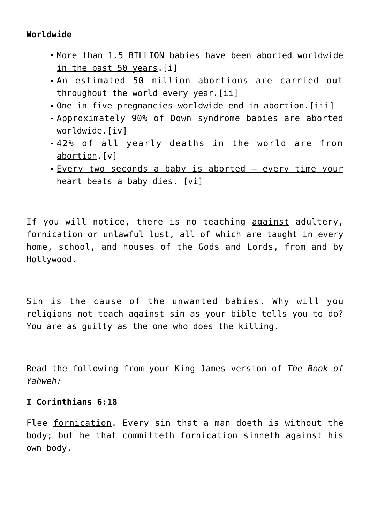# **Worldwide**

- More than 1.5 BILLION babies have been aborted worldwide in the past 50 years.[i]
- An estimated 50 million abortions are carried out throughout the world every year.[ii]
- One in five pregnancies worldwide end in abortion.[iii]
- Approximately 90% of Down syndrome babies are aborted worldwide.[iv]
- 42% of all yearly deaths in the world are from abortion.[v]
- Every two seconds a baby is aborted every time your heart beats a baby dies. [vi]

If you will notice, there is no teaching against adultery, fornication or unlawful lust, all of which are taught in every home, school, and houses of the Gods and Lords, from and by Hollywood.

Sin is the cause of the unwanted babies. Why will you religions not teach against sin as your bible tells you to do? You are as guilty as the one who does the killing.

Read the following from your King James version of *The Book of Yahweh:*

# **I Corinthians 6:18**

Flee fornication. Every sin that a man doeth is without the body; but he that committeth fornication sinneth against his own body.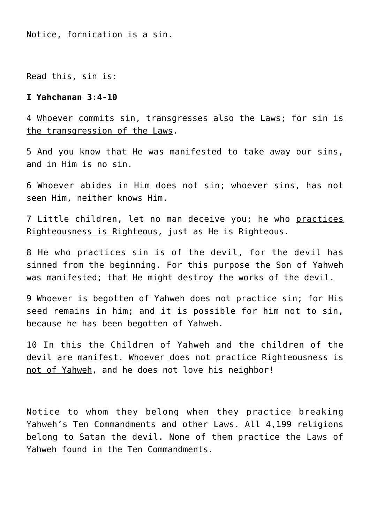Notice, fornication is a sin.

Read this, sin is:

#### **I Yahchanan 3:4-10**

4 Whoever commits sin, transgresses also the Laws; for sin is the transgression of the Laws.

5 And you know that He was manifested to take away our sins, and in Him is no sin.

6 Whoever abides in Him does not sin; whoever sins, has not seen Him, neither knows Him.

7 Little children, let no man deceive you; he who practices Righteousness is Righteous, just as He is Righteous.

8 He who practices sin is of the devil, for the devil has sinned from the beginning. For this purpose the Son of Yahweh was manifested; that He might destroy the works of the devil.

9 Whoever is begotten of Yahweh does not practice sin; for His seed remains in him; and it is possible for him not to sin, because he has been begotten of Yahweh.

10 In this the Children of Yahweh and the children of the devil are manifest. Whoever does not practice Righteousness is not of Yahweh, and he does not love his neighbor!

Notice to whom they belong when they practice breaking Yahweh's Ten Commandments and other Laws. All 4,199 religions belong to Satan the devil. None of them practice the Laws of Yahweh found in the Ten Commandments.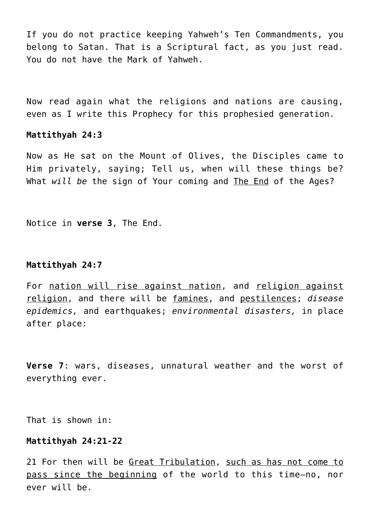If you do not practice keeping Yahweh's Ten Commandments, you belong to Satan. That is a Scriptural fact, as you just read. You do not have the Mark of Yahweh.

Now read again what the religions and nations are causing, even as I write this Prophecy for this prophesied generation.

## **Mattithyah 24:3**

Now as He sat on the Mount of Olives, the Disciples came to Him privately, saying; Tell us, when will these things be? What *will be* the sign of Your coming and The End of the Ages?

Notice in **verse 3**, The End.

#### **Mattithyah 24:7**

For nation will rise against nation, and religion against religion, and there will be famines, and pestilences; *disease epidemics,* and earthquakes; *environmental disasters,* in place after place:

**Verse 7**: wars, diseases, unnatural weather and the worst of everything ever.

That is shown in:

#### **Mattithyah 24:21-22**

21 For then will be Great Tribulation, such as has not come to pass since the beginning of the world to this time—no, nor ever will be.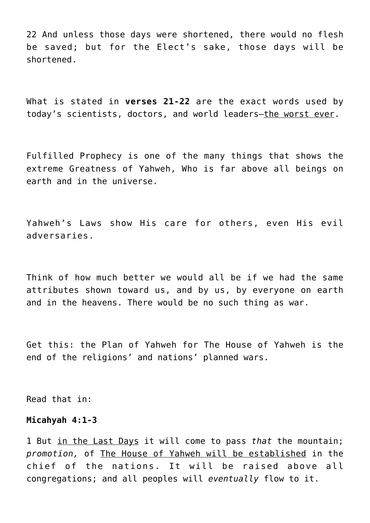22 And unless those days were shortened, there would no flesh be saved; but for the Elect's sake, those days will be shortened.

What is stated in **verses 21-22** are the exact words used by today's scientists, doctors, and world leaders—the worst ever.

Fulfilled Prophecy is one of the many things that shows the extreme Greatness of Yahweh, Who is far above all beings on earth and in the universe.

Yahweh's Laws show His care for others, even His evil adversaries.

Think of how much better we would all be if we had the same attributes shown toward us, and by us, by everyone on earth and in the heavens. There would be no such thing as war.

Get this: the Plan of Yahweh for The House of Yahweh is the end of the religions' and nations' planned wars.

Read that in:

#### **Micahyah 4:1-3**

1 But in the Last Days it will come to pass *that* the mountain; *promotion,* of The House of Yahweh will be established in the chief of the nations. It will be raised above all congregations; and all peoples will *eventually* flow to it.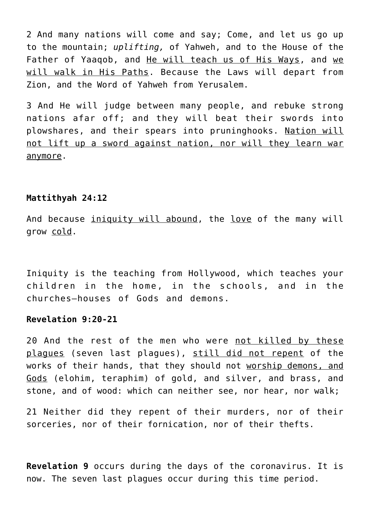2 And many nations will come and say; Come, and let us go up to the mountain; *uplifting,* of Yahweh, and to the House of the Father of Yaaqob, and He will teach us of His Ways, and we will walk in His Paths. Because the Laws will depart from Zion, and the Word of Yahweh from Yerusalem.

3 And He will judge between many people, and rebuke strong nations afar off; and they will beat their swords into plowshares, and their spears into pruninghooks. Nation will not lift up a sword against nation, nor will they learn war anymore.

#### **Mattithyah 24:12**

And because iniquity will abound, the love of the many will grow cold.

Iniquity is the teaching from Hollywood, which teaches your children in the home, in the schools, and in the churches—houses of Gods and demons.

## **Revelation 9:20-21**

20 And the rest of the men who were not killed by these plagues (seven last plagues), still did not repent of the works of their hands, that they should not worship demons, and Gods (elohim, teraphim) of gold, and silver, and brass, and stone, and of wood: which can neither see, nor hear, nor walk;

21 Neither did they repent of their murders, nor of their sorceries, nor of their fornication, nor of their thefts.

**Revelation 9** occurs during the days of the coronavirus. It is now. The seven last plagues occur during this time period.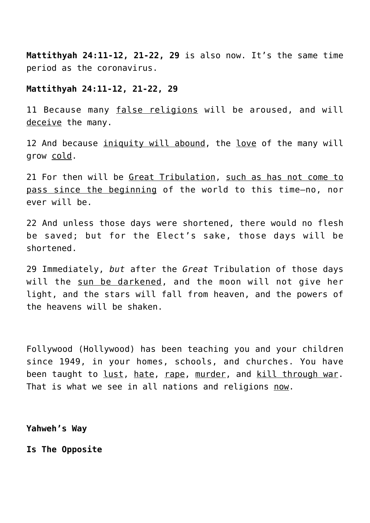**Mattithyah 24:11-12, 21-22, 29** is also now. It's the same time period as the coronavirus.

## **Mattithyah 24:11-12, 21-22, 29**

11 Because many false religions will be aroused, and will deceive the many.

12 And because iniquity will abound, the love of the many will grow cold.

21 For then will be Great Tribulation, such as has not come to pass since the beginning of the world to this time—no, nor ever will be.

22 And unless those days were shortened, there would no flesh be saved; but for the Elect's sake, those days will be shortened.

29 Immediately, *but* after the *Great* Tribulation of those days will the sun be darkened, and the moon will not give her light, and the stars will fall from heaven, and the powers of the heavens will be shaken.

Follywood (Hollywood) has been teaching you and your children since 1949, in your homes, schools, and churches. You have been taught to lust, hate, rape, murder, and kill through war. That is what we see in all nations and religions now.

**Yahweh's Way**

**Is The Opposite**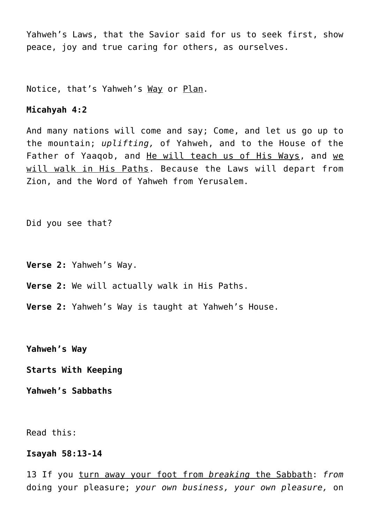Yahweh's Laws, that the Savior said for us to seek first, show peace, joy and true caring for others, as ourselves.

Notice, that's Yahweh's Way or Plan.

## **Micahyah 4:2**

And many nations will come and say; Come, and let us go up to the mountain; *uplifting,* of Yahweh, and to the House of the Father of Yaaqob, and He will teach us of His Ways, and we will walk in His Paths. Because the Laws will depart from Zion, and the Word of Yahweh from Yerusalem.

Did you see that?

**Verse 2:** Yahweh's Way.

- **Verse 2:** We will actually walk in His Paths.
- **Verse 2:** Yahweh's Way is taught at Yahweh's House.

**Yahweh's Way**

**Starts With Keeping**

**Yahweh's Sabbaths**

Read this:

#### **Isayah 58:13-14**

13 If you turn away your foot from *breaking* the Sabbath: *from* doing your pleasure; *your own business, your own pleasure,* on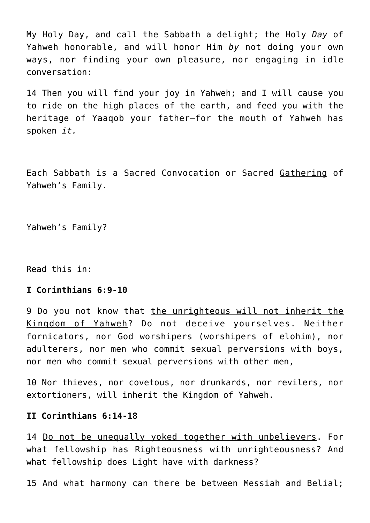My Holy Day, and call the Sabbath a delight; the Holy *Day* of Yahweh honorable, and will honor Him *by* not doing your own ways, nor finding your own pleasure, nor engaging in idle conversation:

14 Then you will find your joy in Yahweh; and I will cause you to ride on the high places of the earth, and feed you with the heritage of Yaaqob your father—for the mouth of Yahweh has spoken *it.*

Each Sabbath is a Sacred Convocation or Sacred Gathering of Yahweh's Family.

Yahweh's Family?

Read this in:

#### **I Corinthians 6:9-10**

9 Do you not know that the unrighteous will not inherit the Kingdom of Yahweh? Do not deceive yourselves. Neither fornicators, nor God worshipers (worshipers of elohim), nor adulterers, nor men who commit sexual perversions with boys, nor men who commit sexual perversions with other men,

10 Nor thieves, nor covetous, nor drunkards, nor revilers, nor extortioners, will inherit the Kingdom of Yahweh.

#### **II Corinthians 6:14-18**

14 <u>Do not be unequally yoked together with unbelievers</u>. For what fellowship has Righteousness with unrighteousness? And what fellowship does Light have with darkness?

15 And what harmony can there be between Messiah and Belial;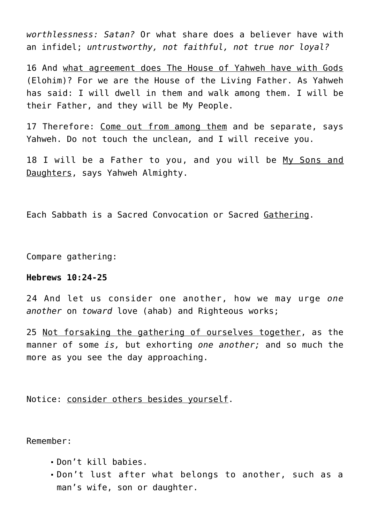*worthlessness: Satan?* Or what share does a believer have with an infidel; *untrustworthy, not faithful, not true nor loyal?*

16 And what agreement does The House of Yahweh have with Gods (Elohim)? For we are the House of the Living Father. As Yahweh has said: I will dwell in them and walk among them. I will be their Father, and they will be My People.

17 Therefore: Come out from among them and be separate, says Yahweh. Do not touch the unclean*,* and I will receive you.

18 I will be a Father to you, and you will be My Sons and Daughters, says Yahweh Almighty.

Each Sabbath is a Sacred Convocation or Sacred Gathering.

Compare gathering:

## **Hebrews 10:24-25**

24 And let us consider one another, how we may urge *one another* on *toward* love (ahab) and Righteous works;

25 Not forsaking the gathering of ourselves together, as the manner of some *is,* but exhorting *one another;* and so much the more as you see the day approaching.

Notice: consider others besides yourself.

Remember:

- Don't kill babies.
- Don't lust after what belongs to another, such as a man's wife, son or daughter.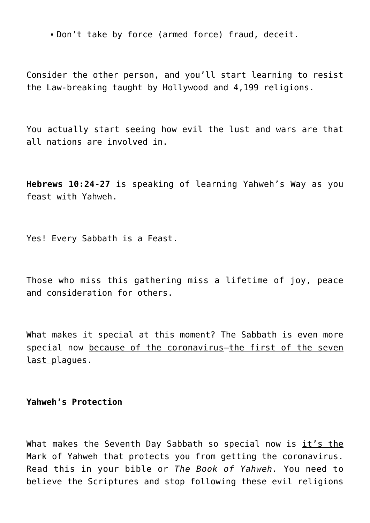Don't take by force (armed force) fraud, deceit.

Consider the other person, and you'll start learning to resist the Law-breaking taught by Hollywood and 4,199 religions.

You actually start seeing how evil the lust and wars are that all nations are involved in.

**Hebrews 10:24-27** is speaking of learning Yahweh's Way as you feast with Yahweh.

Yes! Every Sabbath is a Feast.

Those who miss this gathering miss a lifetime of joy, peace and consideration for others.

What makes it special at this moment? The Sabbath is even more special now because of the coronavirus—the first of the seven last plagues.

## **Yahweh's Protection**

What makes the Seventh Day Sabbath so special now is  $it's$  the Mark of Yahweh that protects you from getting the coronavirus. Read this in your bible or *The Book of Yahweh.* You need to believe the Scriptures and stop following these evil religions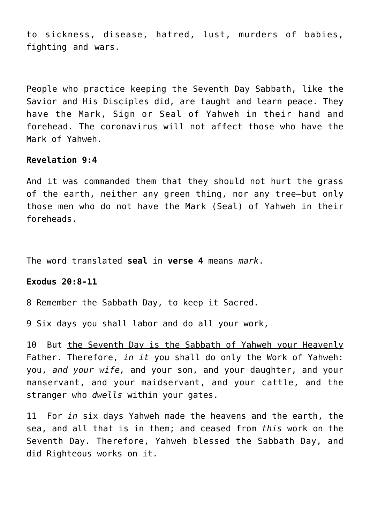to sickness, disease, hatred, lust, murders of babies, fighting and wars.

People who practice keeping the Seventh Day Sabbath, like the Savior and His Disciples did, are taught and learn peace. They have the Mark, Sign or Seal of Yahweh in their hand and forehead. The coronavirus will not affect those who have the Mark of Yahweh.

#### **Revelation 9:4**

And it was commanded them that they should not hurt the grass of the earth, neither any green thing, nor any tree—but only those men who do not have the Mark (Seal) of Yahweh in their foreheads.

The word translated **seal** in **verse 4** means *mark*.

#### **Exodus 20:8-11**

8 Remember the Sabbath Day, to keep it Sacred.

9 Six days you shall labor and do all your work,

10 But the Seventh Day is the Sabbath of Yahweh your Heavenly Father. Therefore, *in it* you shall do only the Work of Yahweh: you, *and your wife,* and your son, and your daughter, and your manservant, and your maidservant, and your cattle, and the stranger who *dwells* within your gates.

11 For *in* six days Yahweh made the heavens and the earth, the sea, and all that is in them; and ceased from *this* work on the Seventh Day. Therefore, Yahweh blessed the Sabbath Day, and did Righteous works on it.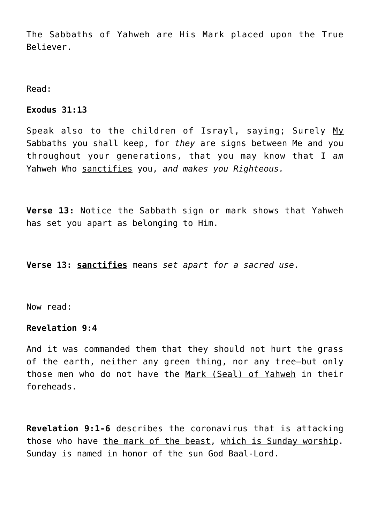The Sabbaths of Yahweh are His Mark placed upon the True Believer.

Read:

## **Exodus 31:13**

Speak also to the children of Israyl, saying; Surely My Sabbaths you shall keep, for *they* are signs between Me and you throughout your generations, that you may know that I *am* Yahweh Who sanctifies you, *and makes you Righteous.*

**Verse 13:** Notice the Sabbath sign or mark shows that Yahweh has set you apart as belonging to Him.

**Verse 13: sanctifies** means *set apart for a sacred use*.

Now read:

## **Revelation 9:4**

And it was commanded them that they should not hurt the grass of the earth, neither any green thing, nor any tree—but only those men who do not have the Mark (Seal) of Yahweh in their foreheads.

**Revelation 9:1-6** describes the coronavirus that is attacking those who have the mark of the beast, which is Sunday worship. Sunday is named in honor of the sun God Baal-Lord.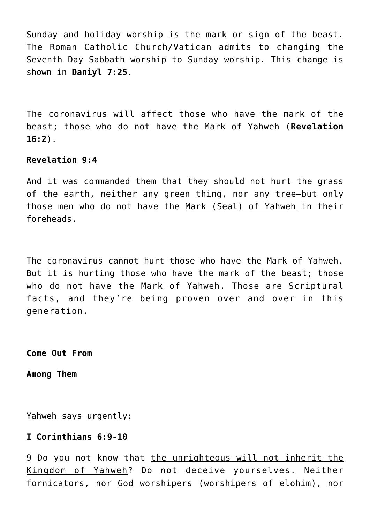Sunday and holiday worship is the mark or sign of the beast. The Roman Catholic Church/Vatican admits to changing the Seventh Day Sabbath worship to Sunday worship. This change is shown in **Daniyl 7:25**.

The coronavirus will affect those who have the mark of the beast; those who do not have the Mark of Yahweh (**Revelation 16:2**).

## **Revelation 9:4**

And it was commanded them that they should not hurt the grass of the earth, neither any green thing, nor any tree—but only those men who do not have the Mark (Seal) of Yahweh in their foreheads.

The coronavirus cannot hurt those who have the Mark of Yahweh. But it is hurting those who have the mark of the beast; those who do not have the Mark of Yahweh. Those are Scriptural facts, and they're being proven over and over in this generation.

**Come Out From**

**Among Them**

Yahweh says urgently:

## **I Corinthians 6:9-10**

9 Do you not know that the unrighteous will not inherit the Kingdom of Yahweh? Do not deceive yourselves. Neither fornicators, nor God worshipers (worshipers of elohim), nor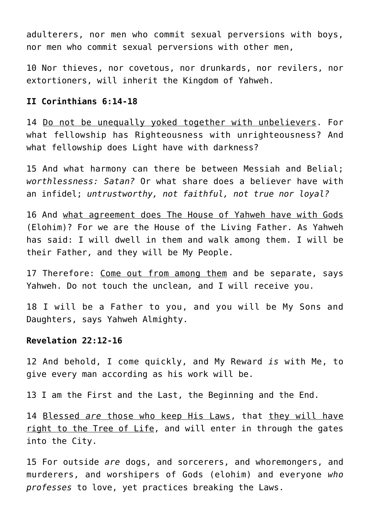adulterers, nor men who commit sexual perversions with boys, nor men who commit sexual perversions with other men,

10 Nor thieves, nor covetous, nor drunkards, nor revilers, nor extortioners, will inherit the Kingdom of Yahweh.

## **II Corinthians 6:14-18**

14 Do not be unequally yoked together with unbelievers. For what fellowship has Righteousness with unrighteousness? And what fellowship does Light have with darkness?

15 And what harmony can there be between Messiah and Belial; *worthlessness: Satan?* Or what share does a believer have with an infidel; *untrustworthy, not faithful, not true nor loyal?*

16 And what agreement does The House of Yahweh have with Gods (Elohim)? For we are the House of the Living Father. As Yahweh has said: I will dwell in them and walk among them. I will be their Father, and they will be My People.

17 Therefore: Come out from among them and be separate, says Yahweh. Do not touch the unclean*,* and I will receive you.

18 I will be a Father to you, and you will be My Sons and Daughters, says Yahweh Almighty.

## **Revelation 22:12-16**

12 And behold, I come quickly, and My Reward *is* with Me, to give every man according as his work will be.

13 I am the First and the Last, the Beginning and the End.

14 Blessed *are* those who keep His Laws, that they will have right to the Tree of Life, and will enter in through the gates into the City.

15 For outside *are* dogs, and sorcerers, and whoremongers, and murderers, and worshipers of Gods (elohim) and everyone *who professes* to love, yet practices breaking the Laws.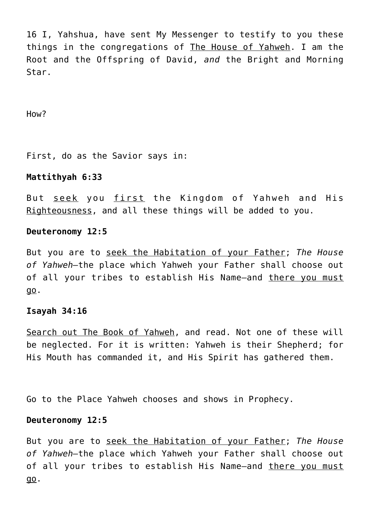16 I, Yahshua, have sent My Messenger to testify to you these things in the congregations of The House of Yahweh. I am the Root and the Offspring of David, *and* the Bright and Morning Star.

How?

First, do as the Savior says in:

## **Mattithyah 6:33**

But seek you first the Kingdom of Yahweh and His Righteousness, and all these things will be added to you.

#### **Deuteronomy 12:5**

But you are to seek the Habitation of your Father; *The House of Yahweh—*the place which Yahweh your Father shall choose out of all your tribes to establish His Name—and there you must go.

## **Isayah 34:16**

Search out The Book of Yahweh, and read. Not one of these will be neglected. For it is written: Yahweh is their Shepherd; for His Mouth has commanded it, and His Spirit has gathered them.

Go to the Place Yahweh chooses and shows in Prophecy.

## **Deuteronomy 12:5**

But you are to seek the Habitation of your Father; *The House of Yahweh—*the place which Yahweh your Father shall choose out of all your tribes to establish His Name-and there you must go.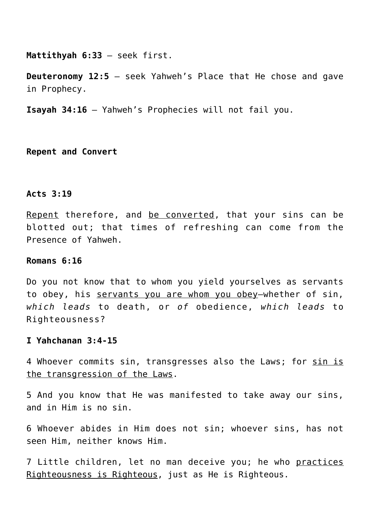**Mattithyah 6:33** – seek first.

**Deuteronomy 12:5** – seek Yahweh's Place that He chose and gave in Prophecy.

**Isayah 34:16** – Yahweh's Prophecies will not fail you.

**Repent and Convert**

#### **Acts 3:19**

Repent therefore, and be converted, that your sins can be blotted out; that times of refreshing can come from the Presence of Yahweh.

#### **Romans 6:16**

Do you not know that to whom you yield yourselves as servants to obey, his servants you are whom you obey—whether of sin, *which leads* to death, or *of* obedience, *which leads* to Righteousness?

#### **I Yahchanan 3:4-15**

4 Whoever commits sin, transgresses also the Laws; for sin is the transgression of the Laws.

5 And you know that He was manifested to take away our sins, and in Him is no sin.

6 Whoever abides in Him does not sin; whoever sins, has not seen Him, neither knows Him.

7 Little children, let no man deceive you; he who practices Righteousness is Righteous, just as He is Righteous.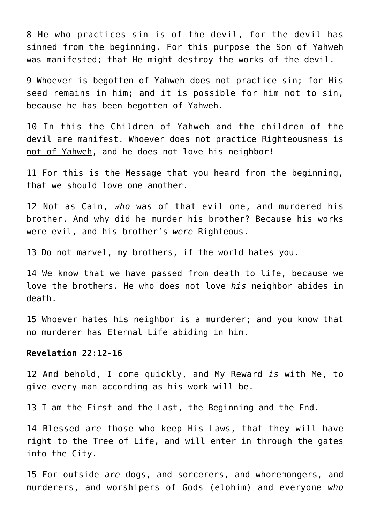8 He who practices sin is of the devil, for the devil has sinned from the beginning. For this purpose the Son of Yahweh was manifested; that He might destroy the works of the devil.

9 Whoever is begotten of Yahweh does not practice sin; for His seed remains in him; and it is possible for him not to sin, because he has been begotten of Yahweh.

10 In this the Children of Yahweh and the children of the devil are manifest. Whoever does not practice Righteousness is not of Yahweh, and he does not love his neighbor!

11 For this is the Message that you heard from the beginning, that we should love one another.

12 Not as Cain, *who* was of that evil one, and murdered his brother. And why did he murder his brother? Because his works were evil, and his brother's *were* Righteous.

13 Do not marvel, my brothers, if the world hates you.

14 We know that we have passed from death to life, because we love the brothers. He who does not love *his* neighbor abides in death.

15 Whoever hates his neighbor is a murderer; and you know that no murderer has Eternal Life abiding in him.

#### **Revelation 22:12-16**

12 And behold, I come quickly, and My Reward *is* with Me, to give every man according as his work will be.

13 I am the First and the Last, the Beginning and the End.

14 Blessed *are* those who keep His Laws, that they will have right to the Tree of Life, and will enter in through the gates into the City.

15 For outside *are* dogs, and sorcerers, and whoremongers, and murderers, and worshipers of Gods (elohim) and everyone *who*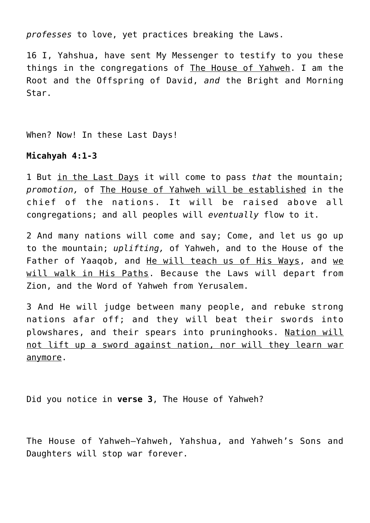*professes* to love, yet practices breaking the Laws.

16 I, Yahshua, have sent My Messenger to testify to you these things in the congregations of The House of Yahweh. I am the Root and the Offspring of David, *and* the Bright and Morning Star.

When? Now! In these Last Days!

## **Micahyah 4:1-3**

1 But in the Last Days it will come to pass *that* the mountain; *promotion,* of The House of Yahweh will be established in the chief of the nations. It will be raised above all congregations; and all peoples will *eventually* flow to it.

2 And many nations will come and say; Come, and let us go up to the mountain; *uplifting,* of Yahweh, and to the House of the Father of Yaaqob, and He will teach us of His Ways, and we will walk in His Paths. Because the Laws will depart from Zion, and the Word of Yahweh from Yerusalem.

3 And He will judge between many people, and rebuke strong nations afar off; and they will beat their swords into plowshares, and their spears into pruninghooks. Nation will not lift up a sword against nation, nor will they learn war anymore.

Did you notice in **verse 3**, The House of Yahweh?

The House of Yahweh—Yahweh, Yahshua, and Yahweh's Sons and Daughters will stop war forever.